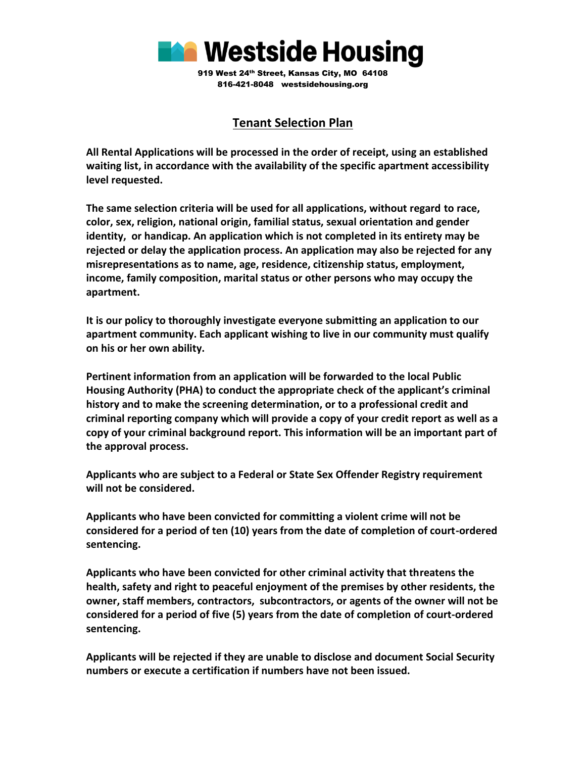

## **Tenant Selection Plan**

**All Rental Applications will be processed in the order of receipt, using an established waiting list, in accordance with the availability of the specific apartment accessibility level requested.**

**The same selection criteria will be used for all applications, without regard to race, color, sex, religion, national origin, familial status, sexual orientation and gender identity, or handicap. An application which is not completed in its entirety may be rejected or delay the application process. An application may also be rejected for any misrepresentations as to name, age, residence, citizenship status, employment, income, family composition, marital status or other persons who may occupy the apartment.**

**It is our policy to thoroughly investigate everyone submitting an application to our apartment community. Each applicant wishing to live in our community must qualify on his or her own ability.**

**Pertinent information from an application will be forwarded to the local Public Housing Authority (PHA) to conduct the appropriate check of the applicant's criminal history and to make the screening determination, or to a professional credit and criminal reporting company which will provide a copy of your credit report as well as a copy of your criminal background report. This information will be an important part of the approval process.**

**Applicants who are subject to a Federal or State Sex Offender Registry requirement will not be considered.**

**Applicants who have been convicted for committing a violent crime will not be considered for a period of ten (10) years from the date of completion of court-ordered sentencing.**

**Applicants who have been convicted for other criminal activity that threatens the health, safety and right to peaceful enjoyment of the premises by other residents, the owner, staff members, contractors, subcontractors, or agents of the owner will not be considered for a period of five (5) years from the date of completion of court-ordered sentencing.**

**Applicants will be rejected if they are unable to disclose and document Social Security numbers or execute a certification if numbers have not been issued.**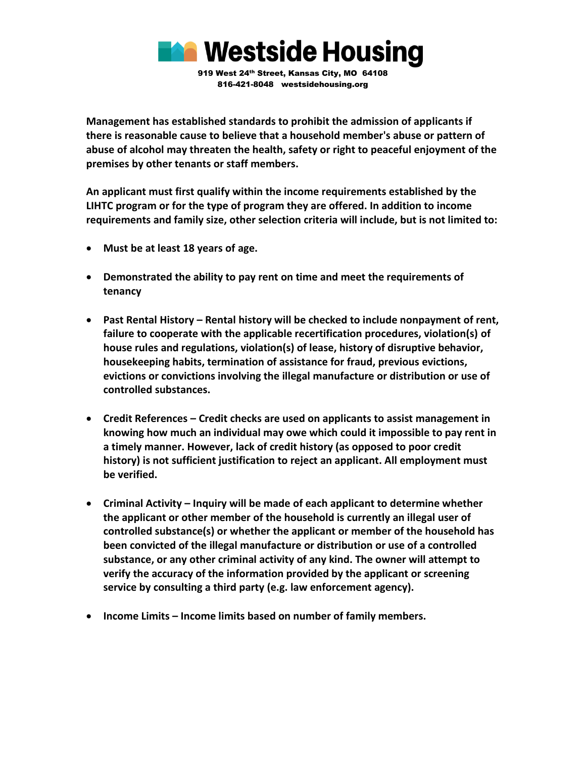

**Management has established standards to prohibit the admission of applicants if there is reasonable cause to believe that a household member's abuse or pattern of abuse of alcohol may threaten the health, safety or right to peaceful enjoyment of the premises by other tenants or staff members.** 

**An applicant must first qualify within the income requirements established by the LIHTC program or for the type of program they are offered. In addition to income requirements and family size, other selection criteria will include, but is not limited to:**

- **Must be at least 18 years of age.**
- **Demonstrated the ability to pay rent on time and meet the requirements of tenancy**
- **Past Rental History – Rental history will be checked to include nonpayment of rent, failure to cooperate with the applicable recertification procedures, violation(s) of house rules and regulations, violation(s) of lease, history of disruptive behavior, housekeeping habits, termination of assistance for fraud, previous evictions, evictions or convictions involving the illegal manufacture or distribution or use of controlled substances.**
- **Credit References – Credit checks are used on applicants to assist management in knowing how much an individual may owe which could it impossible to pay rent in a timely manner. However, lack of credit history (as opposed to poor credit history) is not sufficient justification to reject an applicant. All employment must be verified.**
- **Criminal Activity – Inquiry will be made of each applicant to determine whether the applicant or other member of the household is currently an illegal user of controlled substance(s) or whether the applicant or member of the household has been convicted of the illegal manufacture or distribution or use of a controlled substance, or any other criminal activity of any kind. The owner will attempt to verify the accuracy of the information provided by the applicant or screening service by consulting a third party (e.g. law enforcement agency).**
- **Income Limits – Income limits based on number of family members.**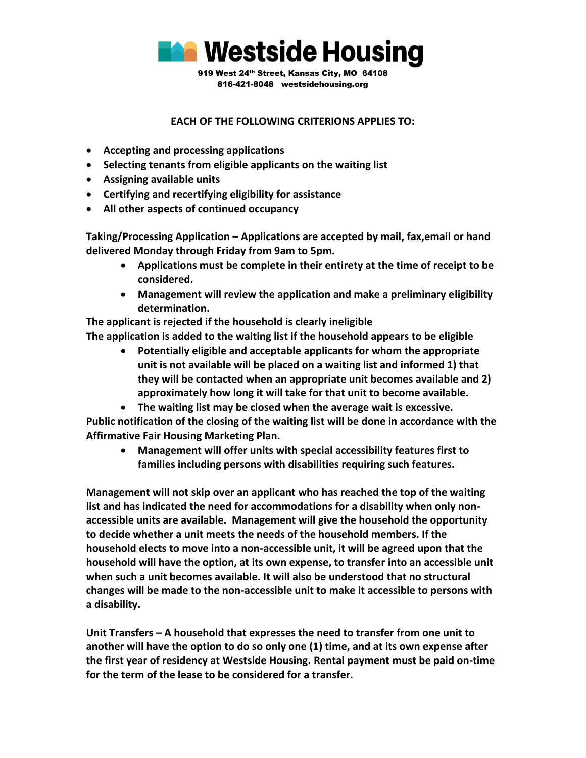

## **EACH OF THE FOLLOWING CRITERIONS APPLIES TO:**

- **Accepting and processing applications**
- **Selecting tenants from eligible applicants on the waiting list**
- **Assigning available units**
- **Certifying and recertifying eligibility for assistance**
- **All other aspects of continued occupancy**

**Taking/Processing Application – Applications are accepted by mail, fax,email or hand delivered Monday through Friday from 9am to 5pm.**

- **Applications must be complete in their entirety at the time of receipt to be considered.**
- **Management will review the application and make a preliminary eligibility determination.**

**The applicant is rejected if the household is clearly ineligible The application is added to the waiting list if the household appears to be eligible**

• **Potentially eligible and acceptable applicants for whom the appropriate unit is not available will be placed on a waiting list and informed 1) that they will be contacted when an appropriate unit becomes available and 2) approximately how long it will take for that unit to become available.**

• **The waiting list may be closed when the average wait is excessive. Public notification of the closing of the waiting list will be done in accordance with the Affirmative Fair Housing Marketing Plan.**

• **Management will offer units with special accessibility features first to families including persons with disabilities requiring such features.**

**Management will not skip over an applicant who has reached the top of the waiting list and has indicated the need for accommodations for a disability when only nonaccessible units are available. Management will give the household the opportunity to decide whether a unit meets the needs of the household members. If the household elects to move into a non-accessible unit, it will be agreed upon that the household will have the option, at its own expense, to transfer into an accessible unit when such a unit becomes available. It will also be understood that no structural changes will be made to the non-accessible unit to make it accessible to persons with a disability.**

**Unit Transfers – A household that expresses the need to transfer from one unit to another will have the option to do so only one (1) time, and at its own expense after the first year of residency at Westside Housing. Rental payment must be paid on-time for the term of the lease to be considered for a transfer.**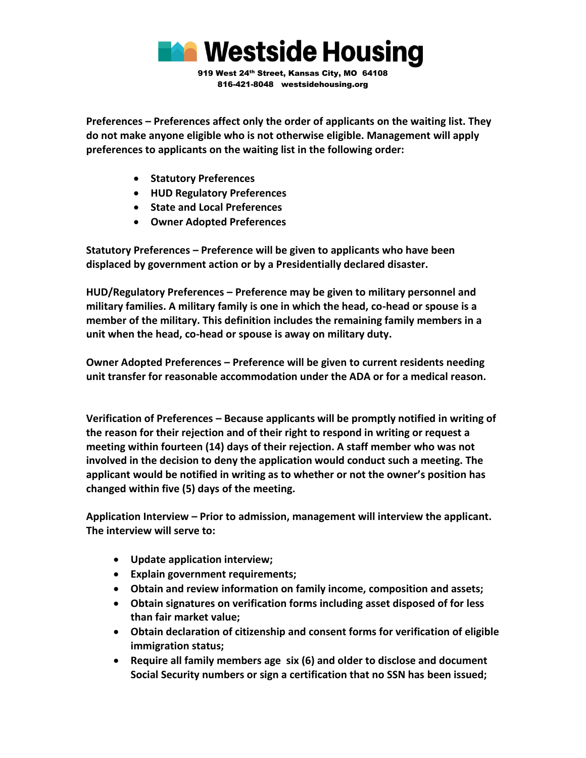

**Preferences – Preferences affect only the order of applicants on the waiting list. They do not make anyone eligible who is not otherwise eligible. Management will apply preferences to applicants on the waiting list in the following order:**

- **Statutory Preferences**
- **HUD Regulatory Preferences**
- **State and Local Preferences**
- **Owner Adopted Preferences**

**Statutory Preferences – Preference will be given to applicants who have been displaced by government action or by a Presidentially declared disaster.**

**HUD/Regulatory Preferences – Preference may be given to military personnel and military families. A military family is one in which the head, co-head or spouse is a member of the military. This definition includes the remaining family members in a unit when the head, co-head or spouse is away on military duty.**

**Owner Adopted Preferences – Preference will be given to current residents needing unit transfer for reasonable accommodation under the ADA or for a medical reason.**

**Verification of Preferences – Because applicants will be promptly notified in writing of the reason for their rejection and of their right to respond in writing or request a meeting within fourteen (14) days of their rejection. A staff member who was not involved in the decision to deny the application would conduct such a meeting. The applicant would be notified in writing as to whether or not the owner's position has changed within five (5) days of the meeting.** 

**Application Interview – Prior to admission, management will interview the applicant. The interview will serve to:**

- **Update application interview;**
- **Explain government requirements;**
- **Obtain and review information on family income, composition and assets;**
- **Obtain signatures on verification forms including asset disposed of for less than fair market value;**
- **Obtain declaration of citizenship and consent forms for verification of eligible immigration status;**
- **Require all family members age six (6) and older to disclose and document Social Security numbers or sign a certification that no SSN has been issued;**